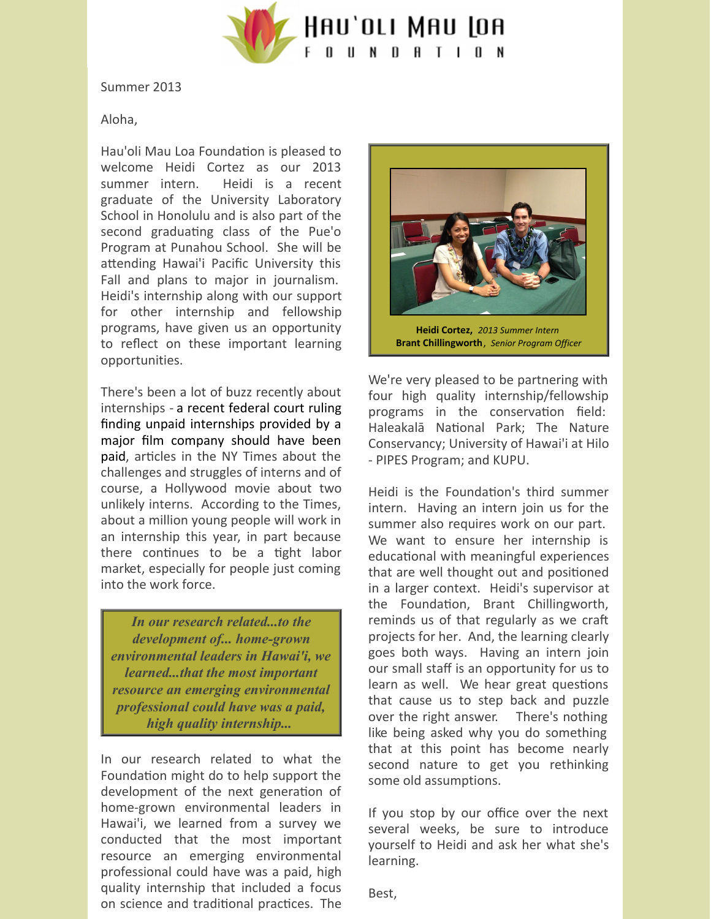

Summer 2013

Aloha,

Hau'oli Mau Loa Foundation is pleased to welcome Heidi Cortez as our 2013 summer intern. Heidi is a recent graduate of the University Laboratory School in Honolulu and is also part of the second graduating class of the Pue'o Program at Punahou School. She will be attending Hawai'i Pacific University this Fall and plans to major in journalism. Heidi's internship along with our support for other internship and fellowship programs, have given us an opportunity to reflect on these important learning opportunities.

There's been a lot of buzz recently about internships - a recent federal court ruling finding unpaid internships provided by a major film company should have been paid, articles in the NY Times about the challenges and struggles of interns and of course, a Hollywood movie about two unlikely interns. According to the Times, about a million young people will work in an internship this year, in part because there continues to be a tight labor market, especially for people just coming into the work force.

*In our research related...to the development of... home-grown environmental leaders in Hawai'i, we learned...that the most important resource an emerging environmental professional could have was a paid, high quality internship...*

In our research related to what the Foundation might do to help support the development of the next generation of home-grown environmental leaders in Hawai'i, we learned from a survey we conducted that the most important resource an emerging environmental professional could have was a paid, high quality internship that included a focus on science and traditional practices. The



We're very pleased to be partnering with four high quality internship/fellowship programs in the conservation field: Haleakalā National Park; The Nature Conservancy; University of Hawai'i at Hilo - PIPES Program; and KUPU.

Heidi is the Foundation's third summer intern. Having an intern join us for the summer also requires work on our part. We want to ensure her internship is educational with meaningful experiences that are well thought out and positioned in a larger context. Heidi's supervisor at the Foundation, Brant Chillingworth, reminds us of that regularly as we craft projects for her. And, the learning clearly goes both ways. Having an intern join our small staff is an opportunity for us to learn as well. We hear great questions that cause us to step back and puzzle over the right answer. There's nothing like being asked why you do something that at this point has become nearly second nature to get you rethinking some old assumptions.

If you stop by our office over the next several weeks, be sure to introduce yourself to Heidi and ask her what she's learning.

Best,